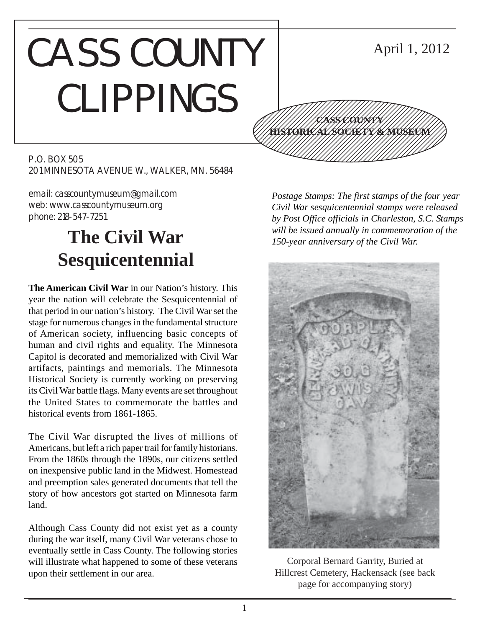# CASS COUNTY CLIPPINGS

#### 12345678901234567890123456789012345678901234567890123456789012345678901234567890123456789012345678901234567890 12345678901234567890123456789012345678901234567890123456789012345678901234567890123456789012345678901234567890 12345678901234567890123456789012123456789012345 12345678901234567890123456789012123456789012345 12345678901234567890123456789012123456789012345 12345678901234567890123456789012123456789012345 12345678901234567890123456789012123456789012345 1234 The Territorial Contract in the Contract of the Contract of the Contract of the Contract of the Contract **CASS COUNTY HISTORICAL SOCIETY & MUSEUM**

P.O. BOX 505 201 MINNESOTA AVENUE W., WALKER, MN. 56484

email: casscountymuseum@gmail.com web: www.casscountymuseum.org phone: 218-547-7251

## **The Civil War Sesquicentennial**

**The American Civil War** in our Nation's history. This year the nation will celebrate the Sesquicentennial of that period in our nation's history. The Civil War set the stage for numerous changes in the fundamental structure of American society, influencing basic concepts of human and civil rights and equality. The Minnesota Capitol is decorated and memorialized with Civil War artifacts, paintings and memorials. The Minnesota Historical Society is currently working on preserving its Civil War battle flags. Many events are set throughout the United States to commemorate the battles and historical events from 1861-1865.

The Civil War disrupted the lives of millions of Americans, but left a rich paper trail for family historians. From the 1860s through the 1890s, our citizens settled on inexpensive public land in the Midwest. Homestead and preemption sales generated documents that tell the story of how ancestors got started on Minnesota farm land.

Although Cass County did not exist yet as a county during the war itself, many Civil War veterans chose to eventually settle in Cass County. The following stories will illustrate what happened to some of these veterans upon their settlement in our area.

*Postage Stamps: The first stamps of the four year Civil War sesquicentennial stamps were released by Post Office officials in Charleston, S.C. Stamps will be issued annually in commemoration of the 150-year anniversary of the Civil War.*

12345678901234567890123456789012345678901234567890123456789012345678901234567890123456789012345678901234567890

April 1, 2012



Corporal Bernard Garrity, Buried at Hillcrest Cemetery, Hackensack (see back page for accompanying story)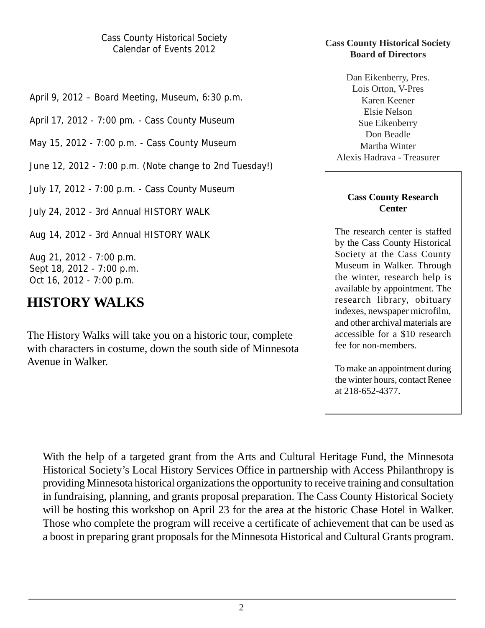Cass County Historical Society Calendar of Events 2012

April 9, 2012 – Board Meeting, Museum, 6:30 p.m.

April 17, 2012 - 7:00 pm. - Cass County Museum

May 15, 2012 - 7:00 p.m. - Cass County Museum

June 12, 2012 - 7:00 p.m. (Note change to 2nd Tuesday!)

July 17, 2012 - 7:00 p.m. - Cass County Museum

July 24, 2012 - 3rd Annual HISTORY WALK

Aug 14, 2012 - 3rd Annual HISTORY WALK

Aug 21, 2012 - 7:00 p.m. Sept 18, 2012 - 7:00 p.m. Oct 16, 2012 - 7:00 p.m.

## **HISTORY WALKS**

The History Walks will take you on a historic tour, complete with characters in costume, down the south side of Minnesota Avenue in Walker.

#### **Cass County Historical Society Board of Directors**

Dan Eikenberry, Pres. Lois Orton, V-Pres Karen Keener Elsie Nelson Sue Eikenberry Don Beadle Martha Winter Alexis Hadrava - Treasurer

#### **Cass County Research Center**

The research center is staffed by the Cass County Historical Society at the Cass County Museum in Walker. Through the winter, research help is available by appointment. The research library, obituary indexes, newspaper microfilm, and other archival materials are accessible for a \$10 research fee for non-members.

To make an appointment during the winter hours, contact Renee at 218-652-4377.

With the help of a targeted grant from the Arts and Cultural Heritage Fund, the Minnesota Historical Society's Local History Services Office in partnership with Access Philanthropy is providing Minnesota historical organizations the opportunity to receive training and consultation in fundraising, planning, and grants proposal preparation. The Cass County Historical Society will be hosting this workshop on April 23 for the area at the historic Chase Hotel in Walker. Those who complete the program will receive a certificate of achievement that can be used as a boost in preparing grant proposals for the Minnesota Historical and Cultural Grants program.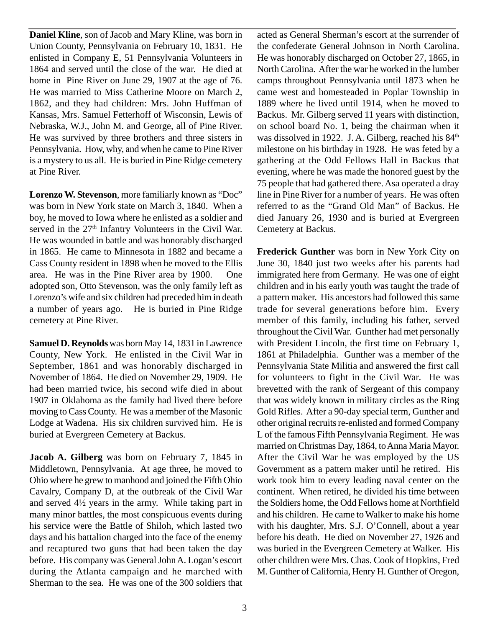**Daniel Kline**, son of Jacob and Mary Kline, was born in Union County, Pennsylvania on February 10, 1831. He enlisted in Company E, 51 Pennsylvania Volunteers in 1864 and served until the close of the war. He died at home in Pine River on June 29, 1907 at the age of 76. He was married to Miss Catherine Moore on March 2, 1862, and they had children: Mrs. John Huffman of Kansas, Mrs. Samuel Fetterhoff of Wisconsin, Lewis of Nebraska, W.J., John M. and George, all of Pine River. He was survived by three brothers and three sisters in Pennsylvania. How, why, and when he came to Pine River is a mystery to us all. He is buried in Pine Ridge cemetery at Pine River.

**Lorenzo W. Stevenson**, more familiarly known as "Doc" was born in New York state on March 3, 1840. When a boy, he moved to Iowa where he enlisted as a soldier and served in the 27<sup>th</sup> Infantry Volunteers in the Civil War. He was wounded in battle and was honorably discharged in 1865. He came to Minnesota in 1882 and became a Cass County resident in 1898 when he moved to the Ellis area. He was in the Pine River area by 1900. One adopted son, Otto Stevenson, was the only family left as Lorenzo's wife and six children had preceded him in death a number of years ago. He is buried in Pine Ridge cemetery at Pine River.

**Samuel D. Reynolds** was born May 14, 1831 in Lawrence County, New York. He enlisted in the Civil War in September, 1861 and was honorably discharged in November of 1864. He died on November 29, 1909. He had been married twice, his second wife died in about 1907 in Oklahoma as the family had lived there before moving to Cass County. He was a member of the Masonic Lodge at Wadena. His six children survived him. He is buried at Evergreen Cemetery at Backus.

**Jacob A. Gilberg** was born on February 7, 1845 in Middletown, Pennsylvania. At age three, he moved to Ohio where he grew to manhood and joined the Fifth Ohio Cavalry, Company D, at the outbreak of the Civil War and served 4½ years in the army. While taking part in many minor battles, the most conspicuous events during his service were the Battle of Shiloh, which lasted two days and his battalion charged into the face of the enemy and recaptured two guns that had been taken the day before. His company was General John A. Logan's escort during the Atlanta campaign and he marched with Sherman to the sea. He was one of the 300 soldiers that

acted as General Sherman's escort at the surrender of the confederate General Johnson in North Carolina. He was honorably discharged on October 27, 1865, in North Carolina. After the war he worked in the lumber camps throughout Pennsylvania until 1873 when he came west and homesteaded in Poplar Township in 1889 where he lived until 1914, when he moved to Backus. Mr. Gilberg served 11 years with distinction, on school board No. 1, being the chairman when it was dissolved in 1922. J. A. Gilberg, reached his  $84<sup>th</sup>$ milestone on his birthday in 1928. He was feted by a gathering at the Odd Fellows Hall in Backus that evening, where he was made the honored guest by the 75 people that had gathered there. Asa operated a dray line in Pine River for a number of years. He was often referred to as the "Grand Old Man" of Backus. He died January 26, 1930 and is buried at Evergreen Cemetery at Backus.

**Frederick Gunther** was born in New York City on June 30, 1840 just two weeks after his parents had immigrated here from Germany. He was one of eight children and in his early youth was taught the trade of a pattern maker. His ancestors had followed this same trade for several generations before him. Every member of this family, including his father, served throughout the Civil War. Gunther had met personally with President Lincoln, the first time on February 1, 1861 at Philadelphia. Gunther was a member of the Pennsylvania State Militia and answered the first call for volunteers to fight in the Civil War. He was brevetted with the rank of Sergeant of this company that was widely known in military circles as the Ring Gold Rifles. After a 90-day special term, Gunther and other original recruits re-enlisted and formed Company L of the famous Fifth Pennsylvania Regiment. He was married on Christmas Day, 1864, to Anna Maria Mayor. After the Civil War he was employed by the US Government as a pattern maker until he retired. His work took him to every leading naval center on the continent. When retired, he divided his time between the Soldiers home, the Odd Fellows home at Northfield and his children. He came to Walker to make his home with his daughter, Mrs. S.J. O'Connell, about a year before his death. He died on November 27, 1926 and was buried in the Evergreen Cemetery at Walker. His other children were Mrs. Chas. Cook of Hopkins, Fred M. Gunther of California, Henry H. Gunther of Oregon,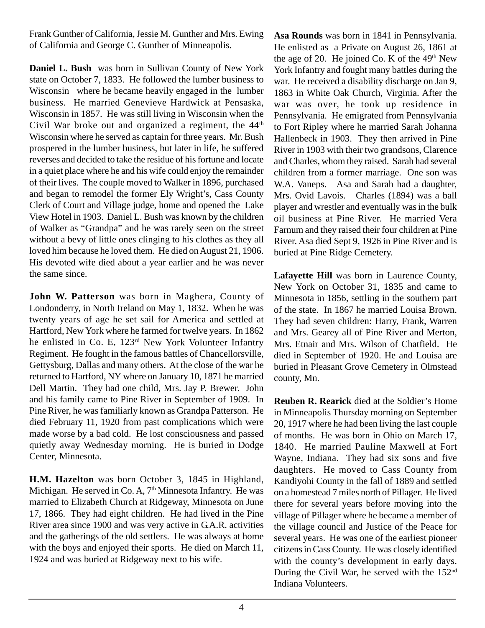Frank Gunther of California, Jessie M. Gunther and Mrs. Ewing of California and George C. Gunther of Minneapolis.

**Daniel L. Bush** was born in Sullivan County of New York state on October 7, 1833. He followed the lumber business to Wisconsin where he became heavily engaged in the lumber business. He married Genevieve Hardwick at Pensaska, Wisconsin in 1857. He was still living in Wisconsin when the Civil War broke out and organized a regiment, the  $44<sup>th</sup>$ Wisconsin where he served as captain for three years. Mr. Bush prospered in the lumber business, but later in life, he suffered reverses and decided to take the residue of his fortune and locate in a quiet place where he and his wife could enjoy the remainder of their lives. The couple moved to Walker in 1896, purchased and began to remodel the former Ely Wright's, Cass County Clerk of Court and Village judge, home and opened the Lake View Hotel in 1903. Daniel L. Bush was known by the children of Walker as "Grandpa" and he was rarely seen on the street without a bevy of little ones clinging to his clothes as they all loved him because he loved them. He died on August 21, 1906. His devoted wife died about a year earlier and he was never the same since.

**John W. Patterson** was born in Maghera, County of Londonderry, in North Ireland on May 1, 1832. When he was twenty years of age he set sail for America and settled at Hartford, New York where he farmed for twelve years. In 1862 he enlisted in Co. E, 123<sup>rd</sup> New York Volunteer Infantry Regiment. He fought in the famous battles of Chancellorsville, Gettysburg, Dallas and many others. At the close of the war he returned to Hartford, NY where on January 10, 1871 he married Dell Martin. They had one child, Mrs. Jay P. Brewer. John and his family came to Pine River in September of 1909. In Pine River, he was familiarly known as Grandpa Patterson. He died February 11, 1920 from past complications which were made worse by a bad cold. He lost consciousness and passed quietly away Wednesday morning. He is buried in Dodge Center, Minnesota.

**H.M. Hazelton** was born October 3, 1845 in Highland, Michigan. He served in Co. A,  $7<sup>th</sup>$  Minnesota Infantry. He was married to Elizabeth Church at Ridgeway, Minnesota on June 17, 1866. They had eight children. He had lived in the Pine River area since 1900 and was very active in G.A.R. activities and the gatherings of the old settlers. He was always at home with the boys and enjoyed their sports. He died on March 11, 1924 and was buried at Ridgeway next to his wife.

**Asa Rounds** was born in 1841 in Pennsylvania. He enlisted as a Private on August 26, 1861 at the age of 20. He joined Co. K of the  $49<sup>th</sup>$  New York Infantry and fought many battles during the war. He received a disability discharge on Jan 9, 1863 in White Oak Church, Virginia. After the war was over, he took up residence in Pennsylvania. He emigrated from Pennsylvania to Fort Ripley where he married Sarah Johanna Hallenbeck in 1903. They then arrived in Pine River in 1903 with their two grandsons, Clarence and Charles, whom they raised. Sarah had several children from a former marriage. One son was W.A. Vaneps. Asa and Sarah had a daughter, Mrs. Ovid Lavois. Charles (1894) was a ball player and wrestler and eventually was in the bulk oil business at Pine River. He married Vera Farnum and they raised their four children at Pine River. Asa died Sept 9, 1926 in Pine River and is buried at Pine Ridge Cemetery.

**Lafayette Hill** was born in Laurence County, New York on October 31, 1835 and came to Minnesota in 1856, settling in the southern part of the state. In 1867 he married Louisa Brown. They had seven children: Harry, Frank, Warren and Mrs. Gearey all of Pine River and Merton, Mrs. Etnair and Mrs. Wilson of Chatfield. He died in September of 1920. He and Louisa are buried in Pleasant Grove Cemetery in Olmstead county, Mn.

**Reuben R. Rearick** died at the Soldier's Home in Minneapolis Thursday morning on September 20, 1917 where he had been living the last couple of months. He was born in Ohio on March 17, 1840. He married Pauline Maxwell at Fort Wayne, Indiana. They had six sons and five daughters. He moved to Cass County from Kandiyohi County in the fall of 1889 and settled on a homestead 7 miles north of Pillager. He lived there for several years before moving into the village of Pillager where he became a member of the village council and Justice of the Peace for several years. He was one of the earliest pioneer citizens in Cass County. He was closely identified with the county's development in early days. During the Civil War, he served with the 152<sup>nd</sup> Indiana Volunteers.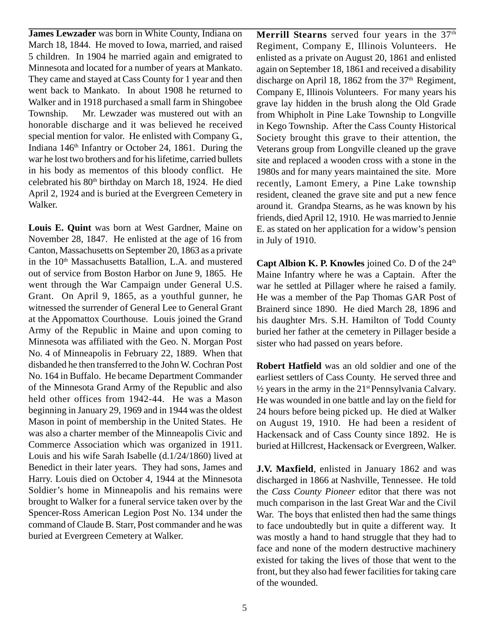**James Lewzader** was born in White County, Indiana on March 18, 1844. He moved to Iowa, married, and raised 5 children. In 1904 he married again and emigrated to Minnesota and located for a number of years at Mankato. They came and stayed at Cass County for 1 year and then went back to Mankato. In about 1908 he returned to Walker and in 1918 purchased a small farm in Shingobee Township. Mr. Lewzader was mustered out with an honorable discharge and it was believed he received special mention for valor. He enlisted with Company G., Indiana 146th Infantry or October 24, 1861. During the war he lost two brothers and for his lifetime, carried bullets in his body as mementos of this bloody conflict. He celebrated his 80<sup>th</sup> birthday on March 18, 1924. He died April 2, 1924 and is buried at the Evergreen Cemetery in Walker.

**Louis E. Quint** was born at West Gardner, Maine on November 28, 1847. He enlisted at the age of 16 from Canton, Massachusetts on September 20, 1863 as a private in the 10<sup>th</sup> Massachusetts Batallion, L.A. and mustered out of service from Boston Harbor on June 9, 1865. He went through the War Campaign under General U.S. Grant. On April 9, 1865, as a youthful gunner, he witnessed the surrender of General Lee to General Grant at the Appomattox Courthouse. Louis joined the Grand Army of the Republic in Maine and upon coming to Minnesota was affiliated with the Geo. N. Morgan Post No. 4 of Minneapolis in February 22, 1889. When that disbanded he then transferred to the John W. Cochran Post No. 164 in Buffalo. He became Department Commander of the Minnesota Grand Army of the Republic and also held other offices from 1942-44. He was a Mason beginning in January 29, 1969 and in 1944 was the oldest Mason in point of membership in the United States. He was also a charter member of the Minneapolis Civic and Commerce Association which was organized in 1911. Louis and his wife Sarah Isabelle (d.1/24/1860) lived at Benedict in their later years. They had sons, James and Harry. Louis died on October 4, 1944 at the Minnesota Soldier's home in Minneapolis and his remains were brought to Walker for a funeral service taken over by the Spencer-Ross American Legion Post No. 134 under the command of Claude B. Starr, Post commander and he was buried at Evergreen Cemetery at Walker.

Merrill Stearns served four years in the 37<sup>th</sup> Regiment, Company E, Illinois Volunteers. He enlisted as a private on August 20, 1861 and enlisted again on September 18, 1861 and received a disability discharge on April 18, 1862 from the  $37<sup>th</sup>$  Regiment, Company E, Illinois Volunteers. For many years his grave lay hidden in the brush along the Old Grade from Whipholt in Pine Lake Township to Longville in Kego Township. After the Cass County Historical Society brought this grave to their attention, the Veterans group from Longville cleaned up the grave site and replaced a wooden cross with a stone in the 1980s and for many years maintained the site. More recently, Lamont Emery, a Pine Lake township resident, cleaned the grave site and put a new fence around it. Grandpa Stearns, as he was known by his friends, died April 12, 1910. He was married to Jennie E. as stated on her application for a widow's pension in July of 1910.

**Capt Albion K. P. Knowles** joined Co. D of the  $24<sup>th</sup>$ Maine Infantry where he was a Captain. After the war he settled at Pillager where he raised a family. He was a member of the Pap Thomas GAR Post of Brainerd since 1890. He died March 28, 1896 and his daughter Mrs. S.H. Hamilton of Todd County buried her father at the cemetery in Pillager beside a sister who had passed on years before.

**Robert Hatfield** was an old soldier and one of the earliest settlers of Cass County. He served three and  $\frac{1}{2}$  years in the army in the 21<sup>st</sup> Pennsylvania Calvary. He was wounded in one battle and lay on the field for 24 hours before being picked up. He died at Walker on August 19, 1910. He had been a resident of Hackensack and of Cass County since 1892. He is buried at Hillcrest, Hackensack or Evergreen, Walker.

**J.V. Maxfield**, enlisted in January 1862 and was discharged in 1866 at Nashville, Tennessee. He told the *Cass County Pioneer* editor that there was not much comparison in the last Great War and the Civil War. The boys that enlisted then had the same things to face undoubtedly but in quite a different way. It was mostly a hand to hand struggle that they had to face and none of the modern destructive machinery existed for taking the lives of those that went to the front, but they also had fewer facilities for taking care of the wounded.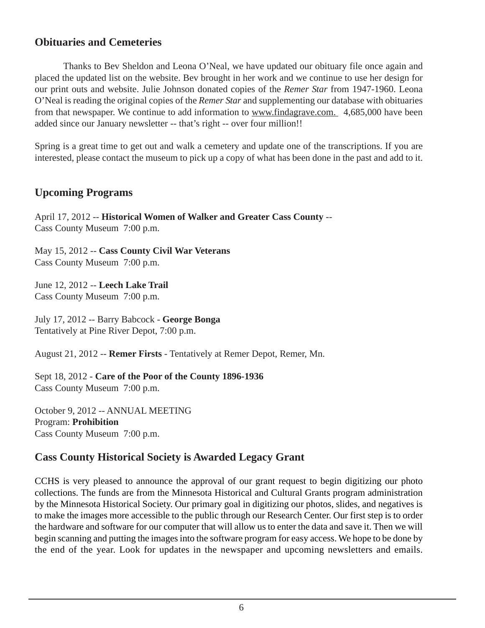## **Obituaries and Cemeteries**

Thanks to Bev Sheldon and Leona O'Neal, we have updated our obituary file once again and placed the updated list on the website. Bev brought in her work and we continue to use her design for our print outs and website. Julie Johnson donated copies of the *Remer Star* from 1947-1960. Leona O'Neal is reading the original copies of the *Remer Star* and supplementing our database with obituaries from that newspaper. We continue to add information to www.findagrave.com. 4,685,000 have been added since our January newsletter -- that's right -- over four million!!

Spring is a great time to get out and walk a cemetery and update one of the transcriptions. If you are interested, please contact the museum to pick up a copy of what has been done in the past and add to it.

## **Upcoming Programs**

April 17, 2012 -- **Historical Women of Walker and Greater Cass County** -- Cass County Museum 7:00 p.m.

May 15, 2012 -- **Cass County Civil War Veterans** Cass County Museum 7:00 p.m.

June 12, 2012 -- **Leech Lake Trail** Cass County Museum 7:00 p.m.

July 17, 2012 -- Barry Babcock - **George Bonga** Tentatively at Pine River Depot, 7:00 p.m.

August 21, 2012 -- **Remer Firsts** - Tentatively at Remer Depot, Remer, Mn.

Sept 18, 2012 - **Care of the Poor of the County 1896-1936** Cass County Museum 7:00 p.m.

October 9, 2012 -- ANNUAL MEETING Program: **Prohibition** Cass County Museum 7:00 p.m.

## **Cass County Historical Society is Awarded Legacy Grant**

CCHS is very pleased to announce the approval of our grant request to begin digitizing our photo collections. The funds are from the Minnesota Historical and Cultural Grants program administration by the Minnesota Historical Society. Our primary goal in digitizing our photos, slides, and negatives is to make the images more accessible to the public through our Research Center. Our first step is to order the hardware and software for our computer that will allow us to enter the data and save it. Then we will begin scanning and putting the images into the software program for easy access. We hope to be done by the end of the year. Look for updates in the newspaper and upcoming newsletters and emails.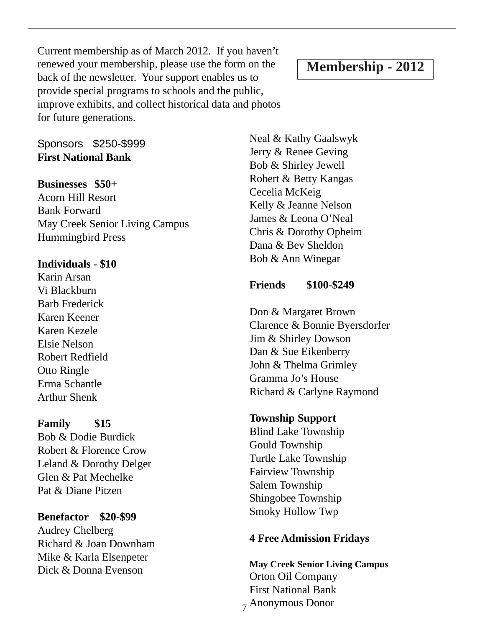Current membership as of March 2012. If you haven't renewed your membership, please use the form on the back of the newsletter. Your support enables us to provide special programs to schools and the public, improve exhibits, and collect historical data and photos for future generations.

## **Membership - 2012**

Sponsors \$250-\$999 **First National Bank**

## **Businesses \$50+**

Acorn Hill Resort Bank Forward May Creek Senior Living Campus Hummingbird Press

#### **Individuals - \$10**

Karin Arsan Vi Blackburn Barb Frederick Karen Keener Karen Kezele Elsie Nelson Robert Redfield Otto Ringle Erma Schantle Arthur Shenk

## **Family \$15**

Bob & Dodie Burdick Robert & Florence Crow Leland & Dorothy Delger Glen & Pat Mechelke Pat & Diane Pitzen

### **Benefactor \$20-\$99**

Audrey Chelberg Richard & Joan Downham Mike & Karla Elsenpeter Dick & Donna Evenson

Neal & Kathy Gaalswyk Jerry & Renee Geving Bob & Shirley Jewell Robert & Betty Kangas Cecelia McKeig Kelly & Jeanne Nelson James & Leona O'Neal Chris & Dorothy Opheim Dana & Bev Sheldon Bob & Ann Winegar

## **Friends \$100-\$249**

Don & Margaret Brown Clarence & Bonnie Byersdorfer Jim & Shirley Dowson Dan & Sue Eikenberry John & Thelma Grimley Gramma Jo's House Richard & Carlyne Raymond

### **Township Support**

Blind Lake Township Gould Township Turtle Lake Township Fairview Township Salem Township Shingobee Township Smoky Hollow Twp

### **4 Free Admission Fridays**

7 Anonymous Donor**May Creek Senior Living Campus** Orton Oil Company First National Bank